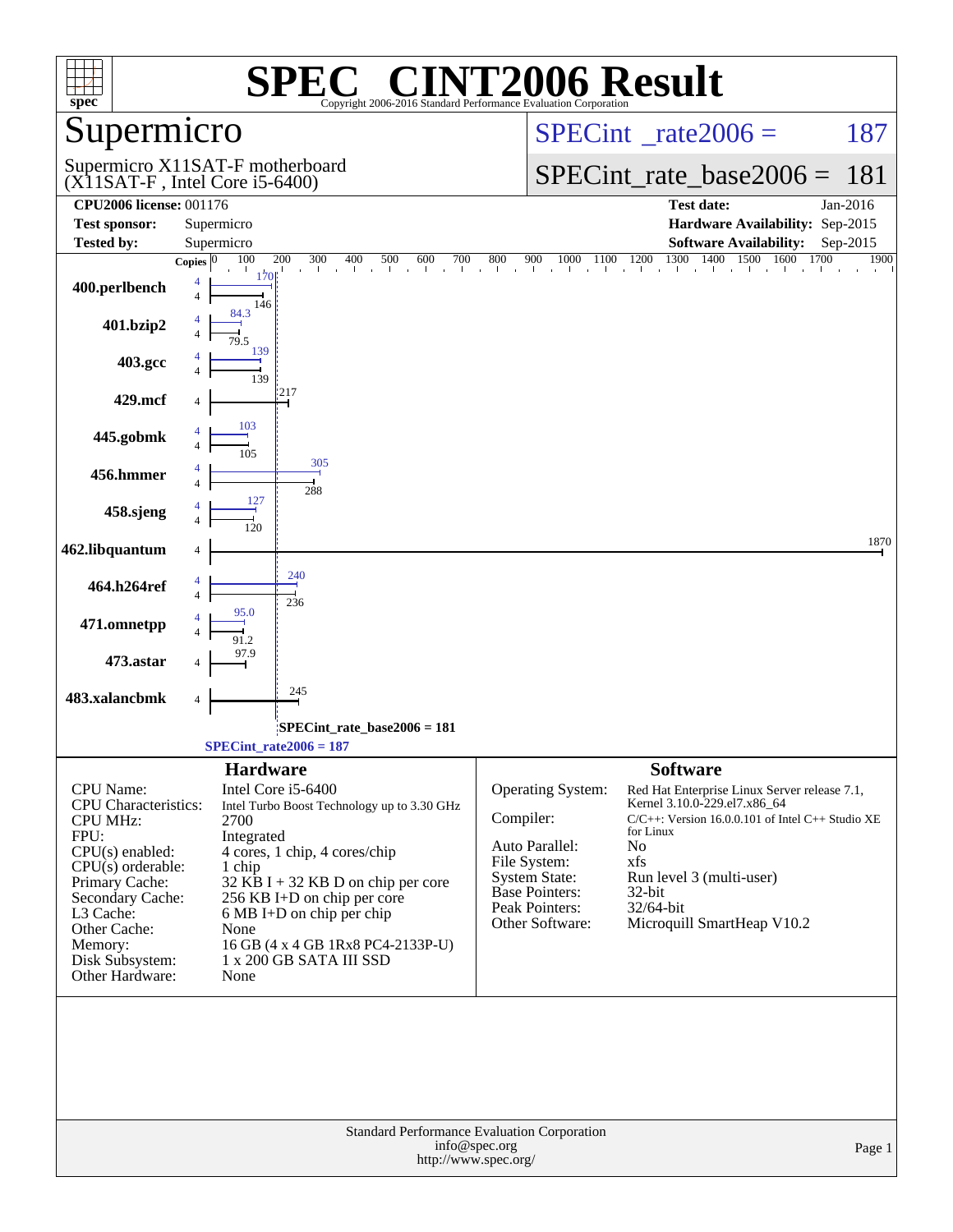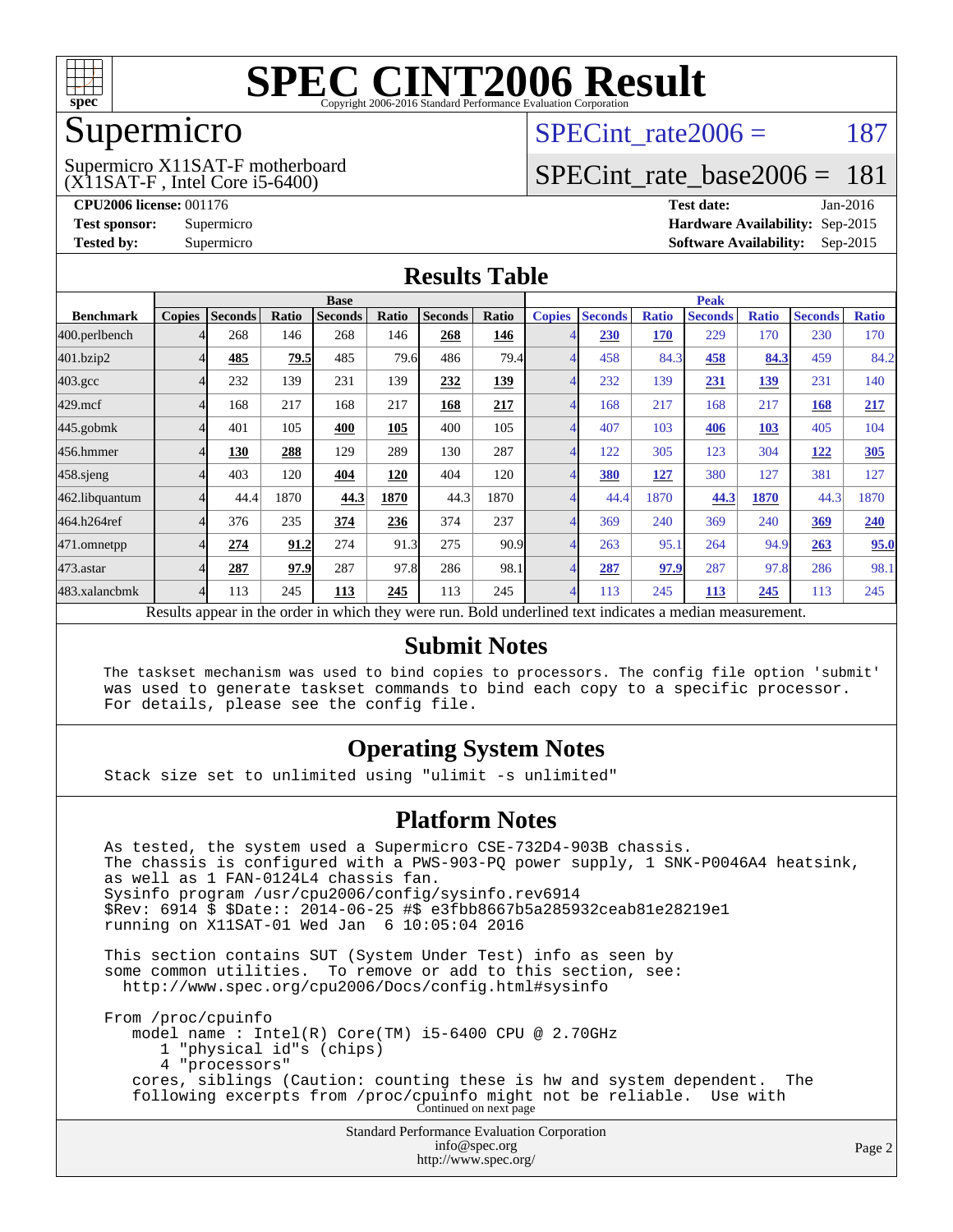

## Supermicro

(X11SAT-F , Intel Core i5-6400) Supermicro X11SAT-F motherboard SPECint rate $2006 = 187$ 

# [SPECint\\_rate\\_base2006 =](http://www.spec.org/auto/cpu2006/Docs/result-fields.html#SPECintratebase2006) 181

**[CPU2006 license:](http://www.spec.org/auto/cpu2006/Docs/result-fields.html#CPU2006license)** 001176 **[Test date:](http://www.spec.org/auto/cpu2006/Docs/result-fields.html#Testdate)** Jan-2016 **[Test sponsor:](http://www.spec.org/auto/cpu2006/Docs/result-fields.html#Testsponsor)** Supermicro **[Hardware Availability:](http://www.spec.org/auto/cpu2006/Docs/result-fields.html#HardwareAvailability)** Sep-2015 **[Tested by:](http://www.spec.org/auto/cpu2006/Docs/result-fields.html#Testedby)** Supermicro **Supermicro [Software Availability:](http://www.spec.org/auto/cpu2006/Docs/result-fields.html#SoftwareAvailability)** Sep-2015

#### **[Results Table](http://www.spec.org/auto/cpu2006/Docs/result-fields.html#ResultsTable)**

|                                                                                                          | <b>Base</b>   |                |       |                |       |                |       |               | <b>Peak</b>    |              |                |              |                |              |  |
|----------------------------------------------------------------------------------------------------------|---------------|----------------|-------|----------------|-------|----------------|-------|---------------|----------------|--------------|----------------|--------------|----------------|--------------|--|
| <b>Benchmark</b>                                                                                         | <b>Copies</b> | <b>Seconds</b> | Ratio | <b>Seconds</b> | Ratio | <b>Seconds</b> | Ratio | <b>Copies</b> | <b>Seconds</b> | <b>Ratio</b> | <b>Seconds</b> | <b>Ratio</b> | <b>Seconds</b> | <b>Ratio</b> |  |
| 400.perlbench                                                                                            |               | 268            | 146   | 268            | 146   | 268            | 146   |               | 230            | 170          | 229            | 170          | 230            | 170          |  |
| 401.bzip2                                                                                                |               | 485            | 79.5  | 485            | 79.6  | 486            | 79.4  |               | 458            | 84.3         | 458            | 84.3         | 459            | 84.2         |  |
| $403.\mathrm{gcc}$                                                                                       |               | 232            | 139   | 231            | 139   | 232            | 139   |               | 232            | 139          | 231            | <u>139</u>   | 231            | 140          |  |
| $429$ .mcf                                                                                               |               | 168            | 217   | 168            | 217   | 168            | 217   |               | 168            | 217          | 168            | 217          | 168            | 217          |  |
| $445$ .gobm $k$                                                                                          |               | 401            | 105   | 400            | 105   | 400            | 105   |               | 407            | 103          | 406            | 103          | 405            | 104          |  |
| 456.hmmer                                                                                                |               | 130            | 288   | 129            | 289   | 130            | 287   |               | 122            | 305          | 123            | 304          | 122            | 305          |  |
| $458$ .sjeng                                                                                             |               | 403            | 120   | 404            | 120   | 404            | 120   |               | 380            | <u>127</u>   | 380            | 127          | 381            | 127          |  |
| 462.libquantum                                                                                           |               | 44.4           | 1870  | 44.3           | 1870  | 44.3           | 1870  |               | 44.4           | 1870         | 44.3           | 1870         | 44.3           | 1870         |  |
| 464.h264ref                                                                                              |               | 376            | 235   | 374            | 236   | 374            | 237   |               | 369            | 240          | 369            | 240          | 369            | 240          |  |
| 471.omnetpp                                                                                              |               | 274            | 91.2  | 274            | 91.3  | 275            | 90.9  |               | 263            | 95.1         | 264            | 94.9         | 263            | 95.0         |  |
| 473.astar                                                                                                |               | 287            | 97.9  | 287            | 97.8  | 286            | 98.1  |               | 287            | 97.9         | 287            | 97.8         | 286            | 98.1         |  |
| 483.xalancbmk                                                                                            | 4             | 113            | 245   | 113            | 245   | 113            | 245   | 4             | 113            | 245          | 113            | 245          | 113            | 245          |  |
| Results appear in the order in which they were run. Bold underlined text indicates a median measurement. |               |                |       |                |       |                |       |               |                |              |                |              |                |              |  |

#### **[Submit Notes](http://www.spec.org/auto/cpu2006/Docs/result-fields.html#SubmitNotes)**

 The taskset mechanism was used to bind copies to processors. The config file option 'submit' was used to generate taskset commands to bind each copy to a specific processor. For details, please see the config file.

### **[Operating System Notes](http://www.spec.org/auto/cpu2006/Docs/result-fields.html#OperatingSystemNotes)**

Stack size set to unlimited using "ulimit -s unlimited"

#### **[Platform Notes](http://www.spec.org/auto/cpu2006/Docs/result-fields.html#PlatformNotes)**

Standard Performance Evaluation Corporation As tested, the system used a Supermicro CSE-732D4-903B chassis. The chassis is configured with a PWS-903-PQ power supply, 1 SNK-P0046A4 heatsink, as well as 1 FAN-0124L4 chassis fan. Sysinfo program /usr/cpu2006/config/sysinfo.rev6914 \$Rev: 6914 \$ \$Date:: 2014-06-25 #\$ e3fbb8667b5a285932ceab81e28219e1 running on X11SAT-01 Wed Jan 6 10:05:04 2016 This section contains SUT (System Under Test) info as seen by some common utilities. To remove or add to this section, see: <http://www.spec.org/cpu2006/Docs/config.html#sysinfo> From /proc/cpuinfo model name : Intel(R) Core(TM) i5-6400 CPU @ 2.70GHz 1 "physical id"s (chips) 4 "processors" cores, siblings (Caution: counting these is hw and system dependent. The following excerpts from /proc/cpuinfo might not be reliable. Use with Continued on next page

[info@spec.org](mailto:info@spec.org) <http://www.spec.org/>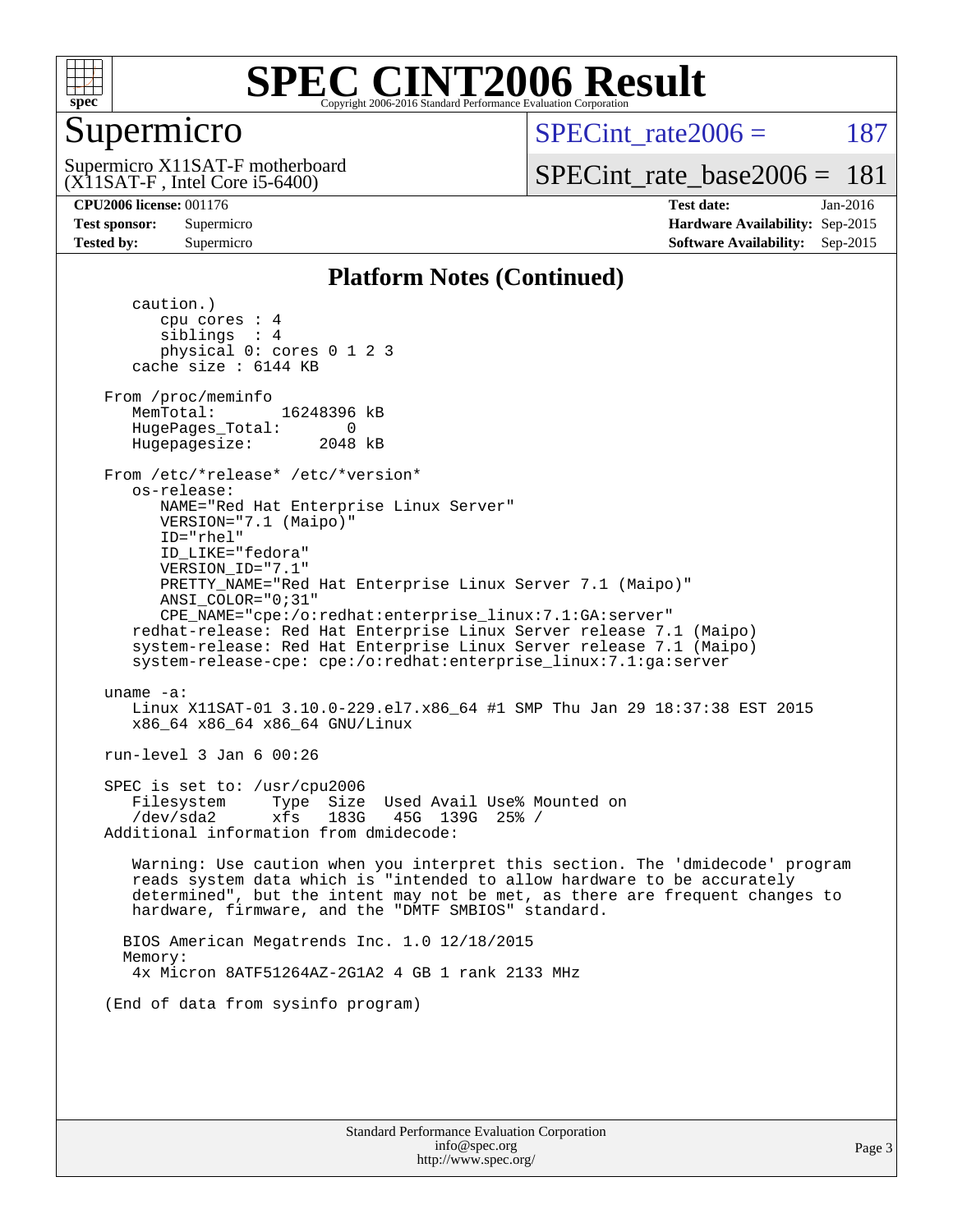

# Supermicro

(X11SAT-F , Intel Core i5-6400) Supermicro X11SAT-F motherboard SPECint rate $2006 = 187$ 

[SPECint\\_rate\\_base2006 =](http://www.spec.org/auto/cpu2006/Docs/result-fields.html#SPECintratebase2006) 181

**[CPU2006 license:](http://www.spec.org/auto/cpu2006/Docs/result-fields.html#CPU2006license)** 001176 **[Test date:](http://www.spec.org/auto/cpu2006/Docs/result-fields.html#Testdate)** Jan-2016 **[Test sponsor:](http://www.spec.org/auto/cpu2006/Docs/result-fields.html#Testsponsor)** Supermicro **[Hardware Availability:](http://www.spec.org/auto/cpu2006/Docs/result-fields.html#HardwareAvailability)** Sep-2015 **[Tested by:](http://www.spec.org/auto/cpu2006/Docs/result-fields.html#Testedby)** Supermicro **Supermicro [Software Availability:](http://www.spec.org/auto/cpu2006/Docs/result-fields.html#SoftwareAvailability)** Sep-2015

#### **[Platform Notes \(Continued\)](http://www.spec.org/auto/cpu2006/Docs/result-fields.html#PlatformNotes)**

 caution.) cpu cores : 4 siblings : 4 physical 0: cores 0 1 2 3 cache size : 6144 KB From /proc/meminfo MemTotal: 16248396 kB HugePages\_Total: 0<br>Hugepagesize: 2048 kB Hugepagesize: From /etc/\*release\* /etc/\*version\* os-release: NAME="Red Hat Enterprise Linux Server" VERSION="7.1 (Maipo)" ID="rhel" ID\_LIKE="fedora" VERSION\_ID="7.1" PRETTY\_NAME="Red Hat Enterprise Linux Server 7.1 (Maipo)" ANSI\_COLOR="0;31" CPE\_NAME="cpe:/o:redhat:enterprise\_linux:7.1:GA:server" redhat-release: Red Hat Enterprise Linux Server release 7.1 (Maipo) system-release: Red Hat Enterprise Linux Server release 7.1 (Maipo) system-release-cpe: cpe:/o:redhat:enterprise\_linux:7.1:ga:server uname -a: Linux X11SAT-01 3.10.0-229.el7.x86\_64 #1 SMP Thu Jan 29 18:37:38 EST 2015 x86\_64 x86\_64 x86\_64 GNU/Linux run-level 3 Jan 6 00:26 SPEC is set to: /usr/cpu2006 Filesystem Type Size Used Avail Use% Mounted on /dev/sda2 xfs 183G 45G 139G 25% / Additional information from dmidecode: Warning: Use caution when you interpret this section. The 'dmidecode' program reads system data which is "intended to allow hardware to be accurately determined", but the intent may not be met, as there are frequent changes to hardware, firmware, and the "DMTF SMBIOS" standard. BIOS American Megatrends Inc. 1.0 12/18/2015 Memory: 4x Micron 8ATF51264AZ-2G1A2 4 GB 1 rank 2133 MHz (End of data from sysinfo program)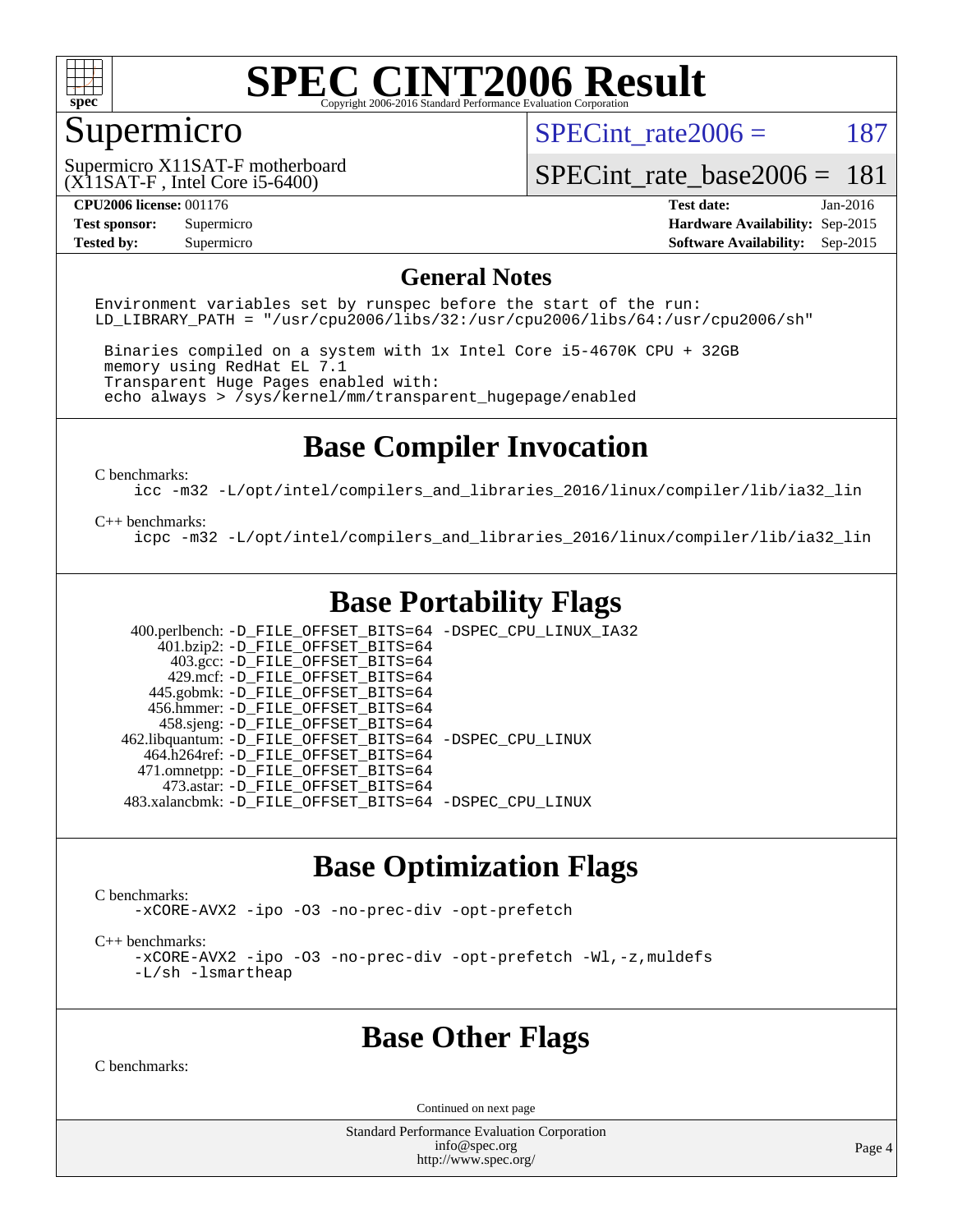

# Supermicro

SPECint rate $2006 = 187$ 

(X11SAT-F , Intel Core i5-6400) Supermicro X11SAT-F motherboard

[SPECint\\_rate\\_base2006 =](http://www.spec.org/auto/cpu2006/Docs/result-fields.html#SPECintratebase2006) 181

**[CPU2006 license:](http://www.spec.org/auto/cpu2006/Docs/result-fields.html#CPU2006license)** 001176 **[Test date:](http://www.spec.org/auto/cpu2006/Docs/result-fields.html#Testdate)** Jan-2016 **[Test sponsor:](http://www.spec.org/auto/cpu2006/Docs/result-fields.html#Testsponsor)** Supermicro **[Hardware Availability:](http://www.spec.org/auto/cpu2006/Docs/result-fields.html#HardwareAvailability)** Sep-2015 **[Tested by:](http://www.spec.org/auto/cpu2006/Docs/result-fields.html#Testedby)** Supermicro **Supermicro [Software Availability:](http://www.spec.org/auto/cpu2006/Docs/result-fields.html#SoftwareAvailability)** Sep-2015

#### **[General Notes](http://www.spec.org/auto/cpu2006/Docs/result-fields.html#GeneralNotes)**

Environment variables set by runspec before the start of the run: LD LIBRARY PATH = "/usr/cpu2006/libs/32:/usr/cpu2006/libs/64:/usr/cpu2006/sh"

 Binaries compiled on a system with 1x Intel Core i5-4670K CPU + 32GB memory using RedHat EL 7.1 Transparent Huge Pages enabled with: echo always > /sys/kernel/mm/transparent\_hugepage/enabled

## **[Base Compiler Invocation](http://www.spec.org/auto/cpu2006/Docs/result-fields.html#BaseCompilerInvocation)**

[C benchmarks](http://www.spec.org/auto/cpu2006/Docs/result-fields.html#Cbenchmarks):

[icc -m32 -L/opt/intel/compilers\\_and\\_libraries\\_2016/linux/compiler/lib/ia32\\_lin](http://www.spec.org/cpu2006/results/res2016q1/cpu2006-20160107-38611.flags.html#user_CCbase_intel_icc_e10256ba5924b668798078a321b0cb3f)

#### [C++ benchmarks:](http://www.spec.org/auto/cpu2006/Docs/result-fields.html#CXXbenchmarks)

[icpc -m32 -L/opt/intel/compilers\\_and\\_libraries\\_2016/linux/compiler/lib/ia32\\_lin](http://www.spec.org/cpu2006/results/res2016q1/cpu2006-20160107-38611.flags.html#user_CXXbase_intel_icpc_b4f50a394bdb4597aa5879c16bc3f5c5)

# **[Base Portability Flags](http://www.spec.org/auto/cpu2006/Docs/result-fields.html#BasePortabilityFlags)**

 400.perlbench: [-D\\_FILE\\_OFFSET\\_BITS=64](http://www.spec.org/cpu2006/results/res2016q1/cpu2006-20160107-38611.flags.html#user_basePORTABILITY400_perlbench_file_offset_bits_64_438cf9856305ebd76870a2c6dc2689ab) [-DSPEC\\_CPU\\_LINUX\\_IA32](http://www.spec.org/cpu2006/results/res2016q1/cpu2006-20160107-38611.flags.html#b400.perlbench_baseCPORTABILITY_DSPEC_CPU_LINUX_IA32)  $401.bzip2: -D$ FILE\_OFFSET\_BITS=64 403.gcc: [-D\\_FILE\\_OFFSET\\_BITS=64](http://www.spec.org/cpu2006/results/res2016q1/cpu2006-20160107-38611.flags.html#user_basePORTABILITY403_gcc_file_offset_bits_64_438cf9856305ebd76870a2c6dc2689ab) 429.mcf: [-D\\_FILE\\_OFFSET\\_BITS=64](http://www.spec.org/cpu2006/results/res2016q1/cpu2006-20160107-38611.flags.html#user_basePORTABILITY429_mcf_file_offset_bits_64_438cf9856305ebd76870a2c6dc2689ab) 445.gobmk: [-D\\_FILE\\_OFFSET\\_BITS=64](http://www.spec.org/cpu2006/results/res2016q1/cpu2006-20160107-38611.flags.html#user_basePORTABILITY445_gobmk_file_offset_bits_64_438cf9856305ebd76870a2c6dc2689ab) 456.hmmer: [-D\\_FILE\\_OFFSET\\_BITS=64](http://www.spec.org/cpu2006/results/res2016q1/cpu2006-20160107-38611.flags.html#user_basePORTABILITY456_hmmer_file_offset_bits_64_438cf9856305ebd76870a2c6dc2689ab) 458.sjeng: [-D\\_FILE\\_OFFSET\\_BITS=64](http://www.spec.org/cpu2006/results/res2016q1/cpu2006-20160107-38611.flags.html#user_basePORTABILITY458_sjeng_file_offset_bits_64_438cf9856305ebd76870a2c6dc2689ab) 462.libquantum: [-D\\_FILE\\_OFFSET\\_BITS=64](http://www.spec.org/cpu2006/results/res2016q1/cpu2006-20160107-38611.flags.html#user_basePORTABILITY462_libquantum_file_offset_bits_64_438cf9856305ebd76870a2c6dc2689ab) [-DSPEC\\_CPU\\_LINUX](http://www.spec.org/cpu2006/results/res2016q1/cpu2006-20160107-38611.flags.html#b462.libquantum_baseCPORTABILITY_DSPEC_CPU_LINUX) 464.h264ref: [-D\\_FILE\\_OFFSET\\_BITS=64](http://www.spec.org/cpu2006/results/res2016q1/cpu2006-20160107-38611.flags.html#user_basePORTABILITY464_h264ref_file_offset_bits_64_438cf9856305ebd76870a2c6dc2689ab) 471.omnetpp: [-D\\_FILE\\_OFFSET\\_BITS=64](http://www.spec.org/cpu2006/results/res2016q1/cpu2006-20160107-38611.flags.html#user_basePORTABILITY471_omnetpp_file_offset_bits_64_438cf9856305ebd76870a2c6dc2689ab) 473.astar: [-D\\_FILE\\_OFFSET\\_BITS=64](http://www.spec.org/cpu2006/results/res2016q1/cpu2006-20160107-38611.flags.html#user_basePORTABILITY473_astar_file_offset_bits_64_438cf9856305ebd76870a2c6dc2689ab) 483.xalancbmk: [-D\\_FILE\\_OFFSET\\_BITS=64](http://www.spec.org/cpu2006/results/res2016q1/cpu2006-20160107-38611.flags.html#user_basePORTABILITY483_xalancbmk_file_offset_bits_64_438cf9856305ebd76870a2c6dc2689ab) [-DSPEC\\_CPU\\_LINUX](http://www.spec.org/cpu2006/results/res2016q1/cpu2006-20160107-38611.flags.html#b483.xalancbmk_baseCXXPORTABILITY_DSPEC_CPU_LINUX)

### **[Base Optimization Flags](http://www.spec.org/auto/cpu2006/Docs/result-fields.html#BaseOptimizationFlags)**

[C benchmarks](http://www.spec.org/auto/cpu2006/Docs/result-fields.html#Cbenchmarks):

[-xCORE-AVX2](http://www.spec.org/cpu2006/results/res2016q1/cpu2006-20160107-38611.flags.html#user_CCbase_f-xAVX2_5f5fc0cbe2c9f62c816d3e45806c70d7) [-ipo](http://www.spec.org/cpu2006/results/res2016q1/cpu2006-20160107-38611.flags.html#user_CCbase_f-ipo) [-O3](http://www.spec.org/cpu2006/results/res2016q1/cpu2006-20160107-38611.flags.html#user_CCbase_f-O3) [-no-prec-div](http://www.spec.org/cpu2006/results/res2016q1/cpu2006-20160107-38611.flags.html#user_CCbase_f-no-prec-div) [-opt-prefetch](http://www.spec.org/cpu2006/results/res2016q1/cpu2006-20160107-38611.flags.html#user_CCbase_f-opt-prefetch)

[C++ benchmarks:](http://www.spec.org/auto/cpu2006/Docs/result-fields.html#CXXbenchmarks)

[-xCORE-AVX2](http://www.spec.org/cpu2006/results/res2016q1/cpu2006-20160107-38611.flags.html#user_CXXbase_f-xAVX2_5f5fc0cbe2c9f62c816d3e45806c70d7) [-ipo](http://www.spec.org/cpu2006/results/res2016q1/cpu2006-20160107-38611.flags.html#user_CXXbase_f-ipo) [-O3](http://www.spec.org/cpu2006/results/res2016q1/cpu2006-20160107-38611.flags.html#user_CXXbase_f-O3) [-no-prec-div](http://www.spec.org/cpu2006/results/res2016q1/cpu2006-20160107-38611.flags.html#user_CXXbase_f-no-prec-div) [-opt-prefetch](http://www.spec.org/cpu2006/results/res2016q1/cpu2006-20160107-38611.flags.html#user_CXXbase_f-opt-prefetch) [-Wl,-z,muldefs](http://www.spec.org/cpu2006/results/res2016q1/cpu2006-20160107-38611.flags.html#user_CXXbase_link_force_multiple1_74079c344b956b9658436fd1b6dd3a8a) [-L/sh -lsmartheap](http://www.spec.org/cpu2006/results/res2016q1/cpu2006-20160107-38611.flags.html#user_CXXbase_SmartHeap_32f6c82aa1ed9c52345d30cf6e4a0499)

### **[Base Other Flags](http://www.spec.org/auto/cpu2006/Docs/result-fields.html#BaseOtherFlags)**

[C benchmarks](http://www.spec.org/auto/cpu2006/Docs/result-fields.html#Cbenchmarks):

Continued on next page

Standard Performance Evaluation Corporation [info@spec.org](mailto:info@spec.org) <http://www.spec.org/>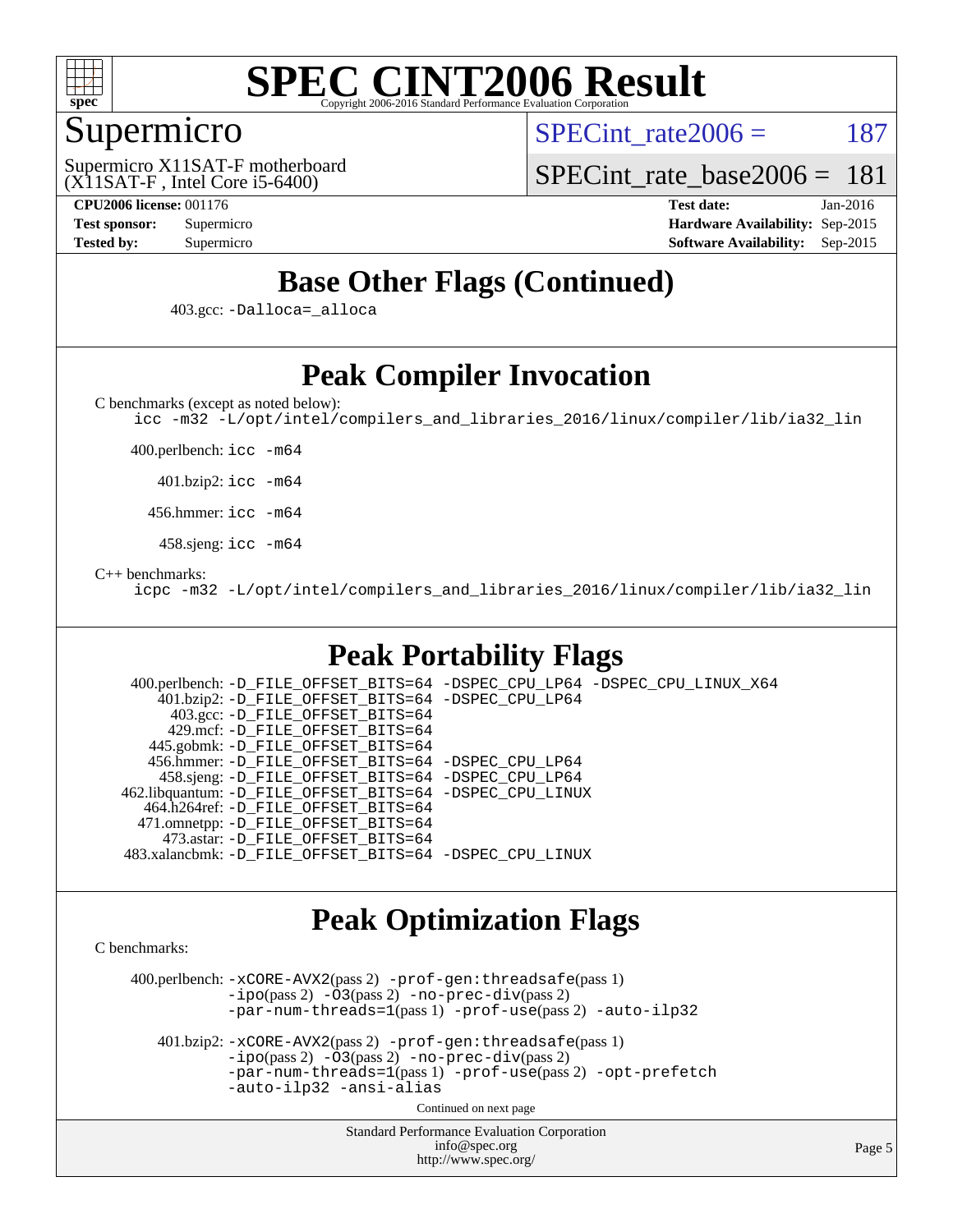

## Supermicro

SPECint rate $2006 = 187$ 

(X11SAT-F , Intel Core i5-6400) Supermicro X11SAT-F motherboard

[SPECint\\_rate\\_base2006 =](http://www.spec.org/auto/cpu2006/Docs/result-fields.html#SPECintratebase2006) 181

**[CPU2006 license:](http://www.spec.org/auto/cpu2006/Docs/result-fields.html#CPU2006license)** 001176 **[Test date:](http://www.spec.org/auto/cpu2006/Docs/result-fields.html#Testdate)** Jan-2016 **[Test sponsor:](http://www.spec.org/auto/cpu2006/Docs/result-fields.html#Testsponsor)** Supermicro **[Hardware Availability:](http://www.spec.org/auto/cpu2006/Docs/result-fields.html#HardwareAvailability)** Sep-2015 **[Tested by:](http://www.spec.org/auto/cpu2006/Docs/result-fields.html#Testedby)** Supermicro **Supermicro [Software Availability:](http://www.spec.org/auto/cpu2006/Docs/result-fields.html#SoftwareAvailability)** Sep-2015

# **[Base Other Flags \(Continued\)](http://www.spec.org/auto/cpu2006/Docs/result-fields.html#BaseOtherFlags)**

403.gcc: [-Dalloca=\\_alloca](http://www.spec.org/cpu2006/results/res2016q1/cpu2006-20160107-38611.flags.html#b403.gcc_baseEXTRA_CFLAGS_Dalloca_be3056838c12de2578596ca5467af7f3)

# **[Peak Compiler Invocation](http://www.spec.org/auto/cpu2006/Docs/result-fields.html#PeakCompilerInvocation)**

[C benchmarks \(except as noted below\)](http://www.spec.org/auto/cpu2006/Docs/result-fields.html#Cbenchmarksexceptasnotedbelow):

[icc -m32 -L/opt/intel/compilers\\_and\\_libraries\\_2016/linux/compiler/lib/ia32\\_lin](http://www.spec.org/cpu2006/results/res2016q1/cpu2006-20160107-38611.flags.html#user_CCpeak_intel_icc_e10256ba5924b668798078a321b0cb3f)

400.perlbench: [icc -m64](http://www.spec.org/cpu2006/results/res2016q1/cpu2006-20160107-38611.flags.html#user_peakCCLD400_perlbench_intel_icc_64bit_bda6cc9af1fdbb0edc3795bac97ada53)

401.bzip2: [icc -m64](http://www.spec.org/cpu2006/results/res2016q1/cpu2006-20160107-38611.flags.html#user_peakCCLD401_bzip2_intel_icc_64bit_bda6cc9af1fdbb0edc3795bac97ada53)

456.hmmer: [icc -m64](http://www.spec.org/cpu2006/results/res2016q1/cpu2006-20160107-38611.flags.html#user_peakCCLD456_hmmer_intel_icc_64bit_bda6cc9af1fdbb0edc3795bac97ada53)

458.sjeng: [icc -m64](http://www.spec.org/cpu2006/results/res2016q1/cpu2006-20160107-38611.flags.html#user_peakCCLD458_sjeng_intel_icc_64bit_bda6cc9af1fdbb0edc3795bac97ada53)

#### [C++ benchmarks:](http://www.spec.org/auto/cpu2006/Docs/result-fields.html#CXXbenchmarks)

[icpc -m32 -L/opt/intel/compilers\\_and\\_libraries\\_2016/linux/compiler/lib/ia32\\_lin](http://www.spec.org/cpu2006/results/res2016q1/cpu2006-20160107-38611.flags.html#user_CXXpeak_intel_icpc_b4f50a394bdb4597aa5879c16bc3f5c5)

# **[Peak Portability Flags](http://www.spec.org/auto/cpu2006/Docs/result-fields.html#PeakPortabilityFlags)**

 400.perlbench: [-D\\_FILE\\_OFFSET\\_BITS=64](http://www.spec.org/cpu2006/results/res2016q1/cpu2006-20160107-38611.flags.html#user_peakPORTABILITY400_perlbench_file_offset_bits_64_438cf9856305ebd76870a2c6dc2689ab) [-DSPEC\\_CPU\\_LP64](http://www.spec.org/cpu2006/results/res2016q1/cpu2006-20160107-38611.flags.html#b400.perlbench_peakCPORTABILITY_DSPEC_CPU_LP64) [-DSPEC\\_CPU\\_LINUX\\_X64](http://www.spec.org/cpu2006/results/res2016q1/cpu2006-20160107-38611.flags.html#b400.perlbench_peakCPORTABILITY_DSPEC_CPU_LINUX_X64) 401.bzip2: [-D\\_FILE\\_OFFSET\\_BITS=64](http://www.spec.org/cpu2006/results/res2016q1/cpu2006-20160107-38611.flags.html#user_peakPORTABILITY401_bzip2_file_offset_bits_64_438cf9856305ebd76870a2c6dc2689ab) [-DSPEC\\_CPU\\_LP64](http://www.spec.org/cpu2006/results/res2016q1/cpu2006-20160107-38611.flags.html#suite_peakCPORTABILITY401_bzip2_DSPEC_CPU_LP64) 403.gcc: [-D\\_FILE\\_OFFSET\\_BITS=64](http://www.spec.org/cpu2006/results/res2016q1/cpu2006-20160107-38611.flags.html#user_peakPORTABILITY403_gcc_file_offset_bits_64_438cf9856305ebd76870a2c6dc2689ab) 429.mcf: [-D\\_FILE\\_OFFSET\\_BITS=64](http://www.spec.org/cpu2006/results/res2016q1/cpu2006-20160107-38611.flags.html#user_peakPORTABILITY429_mcf_file_offset_bits_64_438cf9856305ebd76870a2c6dc2689ab) 445.gobmk: [-D\\_FILE\\_OFFSET\\_BITS=64](http://www.spec.org/cpu2006/results/res2016q1/cpu2006-20160107-38611.flags.html#user_peakPORTABILITY445_gobmk_file_offset_bits_64_438cf9856305ebd76870a2c6dc2689ab) 456.hmmer: [-D\\_FILE\\_OFFSET\\_BITS=64](http://www.spec.org/cpu2006/results/res2016q1/cpu2006-20160107-38611.flags.html#user_peakPORTABILITY456_hmmer_file_offset_bits_64_438cf9856305ebd76870a2c6dc2689ab) [-DSPEC\\_CPU\\_LP64](http://www.spec.org/cpu2006/results/res2016q1/cpu2006-20160107-38611.flags.html#suite_peakCPORTABILITY456_hmmer_DSPEC_CPU_LP64) 458.sjeng: [-D\\_FILE\\_OFFSET\\_BITS=64](http://www.spec.org/cpu2006/results/res2016q1/cpu2006-20160107-38611.flags.html#user_peakPORTABILITY458_sjeng_file_offset_bits_64_438cf9856305ebd76870a2c6dc2689ab) [-DSPEC\\_CPU\\_LP64](http://www.spec.org/cpu2006/results/res2016q1/cpu2006-20160107-38611.flags.html#suite_peakCPORTABILITY458_sjeng_DSPEC_CPU_LP64) 462.libquantum: [-D\\_FILE\\_OFFSET\\_BITS=64](http://www.spec.org/cpu2006/results/res2016q1/cpu2006-20160107-38611.flags.html#user_peakPORTABILITY462_libquantum_file_offset_bits_64_438cf9856305ebd76870a2c6dc2689ab) [-DSPEC\\_CPU\\_LINUX](http://www.spec.org/cpu2006/results/res2016q1/cpu2006-20160107-38611.flags.html#b462.libquantum_peakCPORTABILITY_DSPEC_CPU_LINUX) 464.h264ref: [-D\\_FILE\\_OFFSET\\_BITS=64](http://www.spec.org/cpu2006/results/res2016q1/cpu2006-20160107-38611.flags.html#user_peakPORTABILITY464_h264ref_file_offset_bits_64_438cf9856305ebd76870a2c6dc2689ab) 471.omnetpp: [-D\\_FILE\\_OFFSET\\_BITS=64](http://www.spec.org/cpu2006/results/res2016q1/cpu2006-20160107-38611.flags.html#user_peakPORTABILITY471_omnetpp_file_offset_bits_64_438cf9856305ebd76870a2c6dc2689ab) 473.astar: [-D\\_FILE\\_OFFSET\\_BITS=64](http://www.spec.org/cpu2006/results/res2016q1/cpu2006-20160107-38611.flags.html#user_peakPORTABILITY473_astar_file_offset_bits_64_438cf9856305ebd76870a2c6dc2689ab) 483.xalancbmk: [-D\\_FILE\\_OFFSET\\_BITS=64](http://www.spec.org/cpu2006/results/res2016q1/cpu2006-20160107-38611.flags.html#user_peakPORTABILITY483_xalancbmk_file_offset_bits_64_438cf9856305ebd76870a2c6dc2689ab) [-DSPEC\\_CPU\\_LINUX](http://www.spec.org/cpu2006/results/res2016q1/cpu2006-20160107-38611.flags.html#b483.xalancbmk_peakCXXPORTABILITY_DSPEC_CPU_LINUX)

### **[Peak Optimization Flags](http://www.spec.org/auto/cpu2006/Docs/result-fields.html#PeakOptimizationFlags)**

[C benchmarks](http://www.spec.org/auto/cpu2006/Docs/result-fields.html#Cbenchmarks):

 400.perlbench: [-xCORE-AVX2](http://www.spec.org/cpu2006/results/res2016q1/cpu2006-20160107-38611.flags.html#user_peakPASS2_CFLAGSPASS2_LDCFLAGS400_perlbench_f-xAVX2_5f5fc0cbe2c9f62c816d3e45806c70d7)(pass 2) [-prof-gen:threadsafe](http://www.spec.org/cpu2006/results/res2016q1/cpu2006-20160107-38611.flags.html#user_peakPASS1_CFLAGSPASS1_LDCFLAGS400_perlbench_prof_gen_21a26eb79f378b550acd7bec9fe4467a)(pass 1)  $-i\text{po}(pass 2) -\tilde{O}3(pass 2)$  [-no-prec-div](http://www.spec.org/cpu2006/results/res2016q1/cpu2006-20160107-38611.flags.html#user_peakPASS2_CFLAGSPASS2_LDCFLAGS400_perlbench_f-no-prec-div)(pass 2) [-par-num-threads=1](http://www.spec.org/cpu2006/results/res2016q1/cpu2006-20160107-38611.flags.html#user_peakPASS1_CFLAGSPASS1_LDCFLAGS400_perlbench_par_num_threads_786a6ff141b4e9e90432e998842df6c2)(pass 1) [-prof-use](http://www.spec.org/cpu2006/results/res2016q1/cpu2006-20160107-38611.flags.html#user_peakPASS2_CFLAGSPASS2_LDCFLAGS400_perlbench_prof_use_bccf7792157ff70d64e32fe3e1250b55)(pass 2) [-auto-ilp32](http://www.spec.org/cpu2006/results/res2016q1/cpu2006-20160107-38611.flags.html#user_peakCOPTIMIZE400_perlbench_f-auto-ilp32)

 401.bzip2: [-xCORE-AVX2](http://www.spec.org/cpu2006/results/res2016q1/cpu2006-20160107-38611.flags.html#user_peakPASS2_CFLAGSPASS2_LDCFLAGS401_bzip2_f-xAVX2_5f5fc0cbe2c9f62c816d3e45806c70d7)(pass 2) [-prof-gen:threadsafe](http://www.spec.org/cpu2006/results/res2016q1/cpu2006-20160107-38611.flags.html#user_peakPASS1_CFLAGSPASS1_LDCFLAGS401_bzip2_prof_gen_21a26eb79f378b550acd7bec9fe4467a)(pass 1)  $-i\text{po}(pass 2) -\overline{O}3(pass 2)$  [-no-prec-div](http://www.spec.org/cpu2006/results/res2016q1/cpu2006-20160107-38611.flags.html#user_peakPASS2_CFLAGSPASS2_LDCFLAGS401_bzip2_f-no-prec-div)(pass 2) [-par-num-threads=1](http://www.spec.org/cpu2006/results/res2016q1/cpu2006-20160107-38611.flags.html#user_peakPASS1_CFLAGSPASS1_LDCFLAGS401_bzip2_par_num_threads_786a6ff141b4e9e90432e998842df6c2)(pass 1) [-prof-use](http://www.spec.org/cpu2006/results/res2016q1/cpu2006-20160107-38611.flags.html#user_peakPASS2_CFLAGSPASS2_LDCFLAGS401_bzip2_prof_use_bccf7792157ff70d64e32fe3e1250b55)(pass 2) [-opt-prefetch](http://www.spec.org/cpu2006/results/res2016q1/cpu2006-20160107-38611.flags.html#user_peakCOPTIMIZE401_bzip2_f-opt-prefetch) [-auto-ilp32](http://www.spec.org/cpu2006/results/res2016q1/cpu2006-20160107-38611.flags.html#user_peakCOPTIMIZE401_bzip2_f-auto-ilp32) [-ansi-alias](http://www.spec.org/cpu2006/results/res2016q1/cpu2006-20160107-38611.flags.html#user_peakCOPTIMIZE401_bzip2_f-ansi-alias)

Continued on next page

Standard Performance Evaluation Corporation [info@spec.org](mailto:info@spec.org) <http://www.spec.org/>

Page 5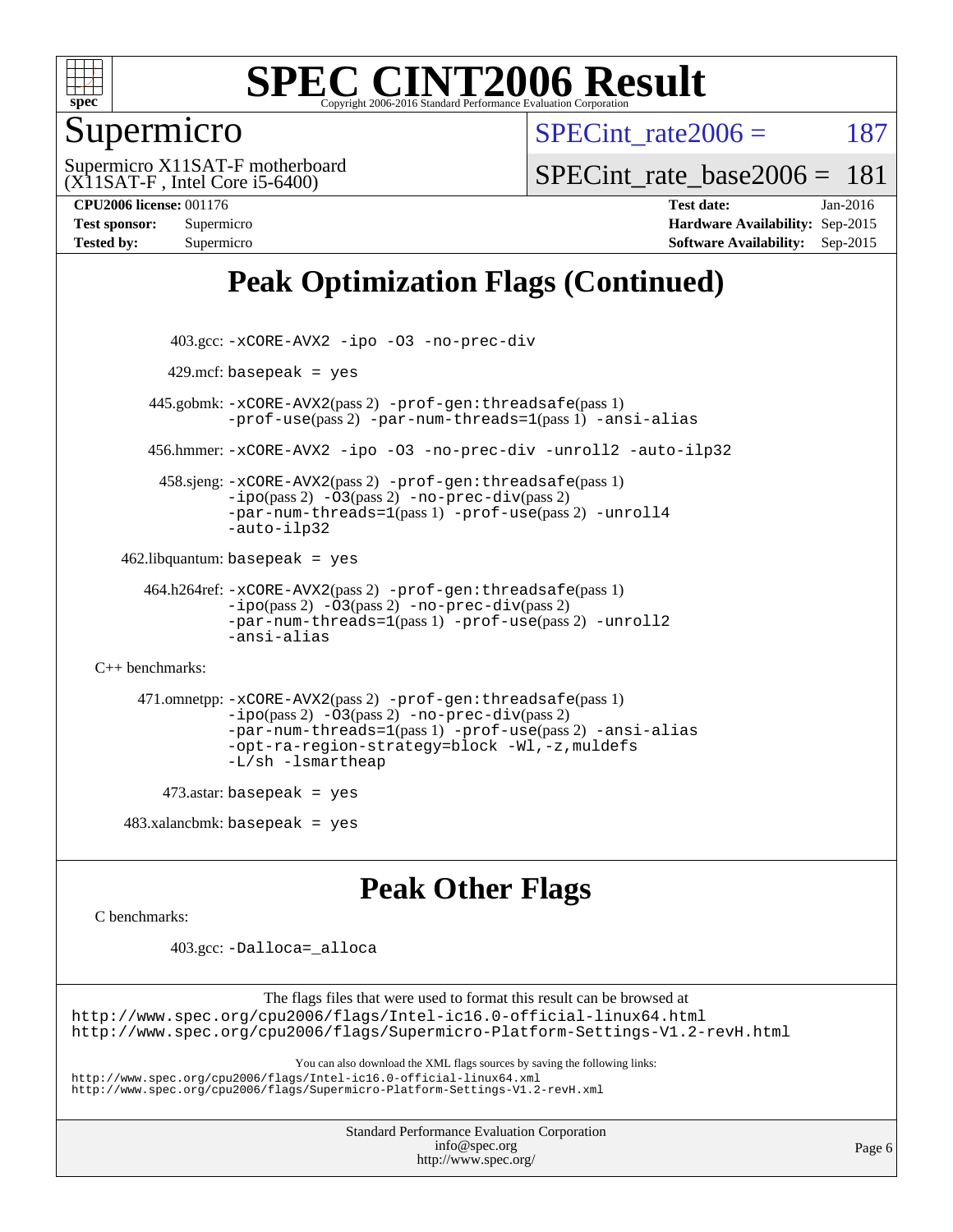

## Supermicro

SPECint rate $2006 = 187$ 

(X11SAT-F , Intel Core i5-6400) Supermicro X11SAT-F motherboard SPECint rate base2006 =  $181$ 

**[CPU2006 license:](http://www.spec.org/auto/cpu2006/Docs/result-fields.html#CPU2006license)** 001176 **[Test date:](http://www.spec.org/auto/cpu2006/Docs/result-fields.html#Testdate)** Jan-2016 **[Test sponsor:](http://www.spec.org/auto/cpu2006/Docs/result-fields.html#Testsponsor)** Supermicro **[Hardware Availability:](http://www.spec.org/auto/cpu2006/Docs/result-fields.html#HardwareAvailability)** Sep-2015 **[Tested by:](http://www.spec.org/auto/cpu2006/Docs/result-fields.html#Testedby)** Supermicro **[Software Availability:](http://www.spec.org/auto/cpu2006/Docs/result-fields.html#SoftwareAvailability)** Sep-2015

# **[Peak Optimization Flags \(Continued\)](http://www.spec.org/auto/cpu2006/Docs/result-fields.html#PeakOptimizationFlags)**

```
 403.gcc: -xCORE-AVX2 -ipo -O3 -no-prec-div
         429.mcf: basepeak = yes
       445.gobmk: -xCORE-AVX2(pass 2) -prof-gen:threadsafe(pass 1)
                -prof-use(pass 2) -par-num-threads=1(pass 1) -ansi-alias
       456.hmmer: -xCORE-AVX2 -ipo -O3 -no-prec-div -unroll2 -auto-ilp32
         458.sjeng: -xCORE-AVX2(pass 2) -prof-gen:threadsafe(pass 1)
                -i\text{po}(pass 2) -\overline{O}3(pass 2)-no-prec-div(pass 2)
                -par-num-threads=1(pass 1) -prof-use(pass 2) -unroll4
                -auto-ilp32
   462.libquantum: basepeak = yes
      464.h264ref: -xCORE-AVX2(pass 2) -prof-gen:threadsafe(pass 1)
                -ipo(pass 2) -O3(pass 2) -no-prec-div(pass 2)
                -par-num-threads=1(pass 1) -prof-use(pass 2) -unroll2
                -ansi-alias
C++ benchmarks: 
      471.omnetpp: -xCORE-AVX2(pass 2) -prof-gen:threadsafe(pass 1)
                -ipo(pass 2) -O3(pass 2) -no-prec-div(pass 2)
                -par-num-threads=1(pass 1) -prof-use(pass 2) -ansi-alias
                -opt-ra-region-strategy=block -Wl,-z,muldefs
                -L/sh -lsmartheap
         473.astar: basepeak = yes
   483.xalanchmk: basepeak = yesPeak Other Flags
C benchmarks:
```
403.gcc: [-Dalloca=\\_alloca](http://www.spec.org/cpu2006/results/res2016q1/cpu2006-20160107-38611.flags.html#b403.gcc_peakEXTRA_CFLAGS_Dalloca_be3056838c12de2578596ca5467af7f3)

The flags files that were used to format this result can be browsed at <http://www.spec.org/cpu2006/flags/Intel-ic16.0-official-linux64.html> <http://www.spec.org/cpu2006/flags/Supermicro-Platform-Settings-V1.2-revH.html>

You can also download the XML flags sources by saving the following links:

<http://www.spec.org/cpu2006/flags/Intel-ic16.0-official-linux64.xml> <http://www.spec.org/cpu2006/flags/Supermicro-Platform-Settings-V1.2-revH.xml>

> Standard Performance Evaluation Corporation [info@spec.org](mailto:info@spec.org)

```
http://www.spec.org/
```
Page 6